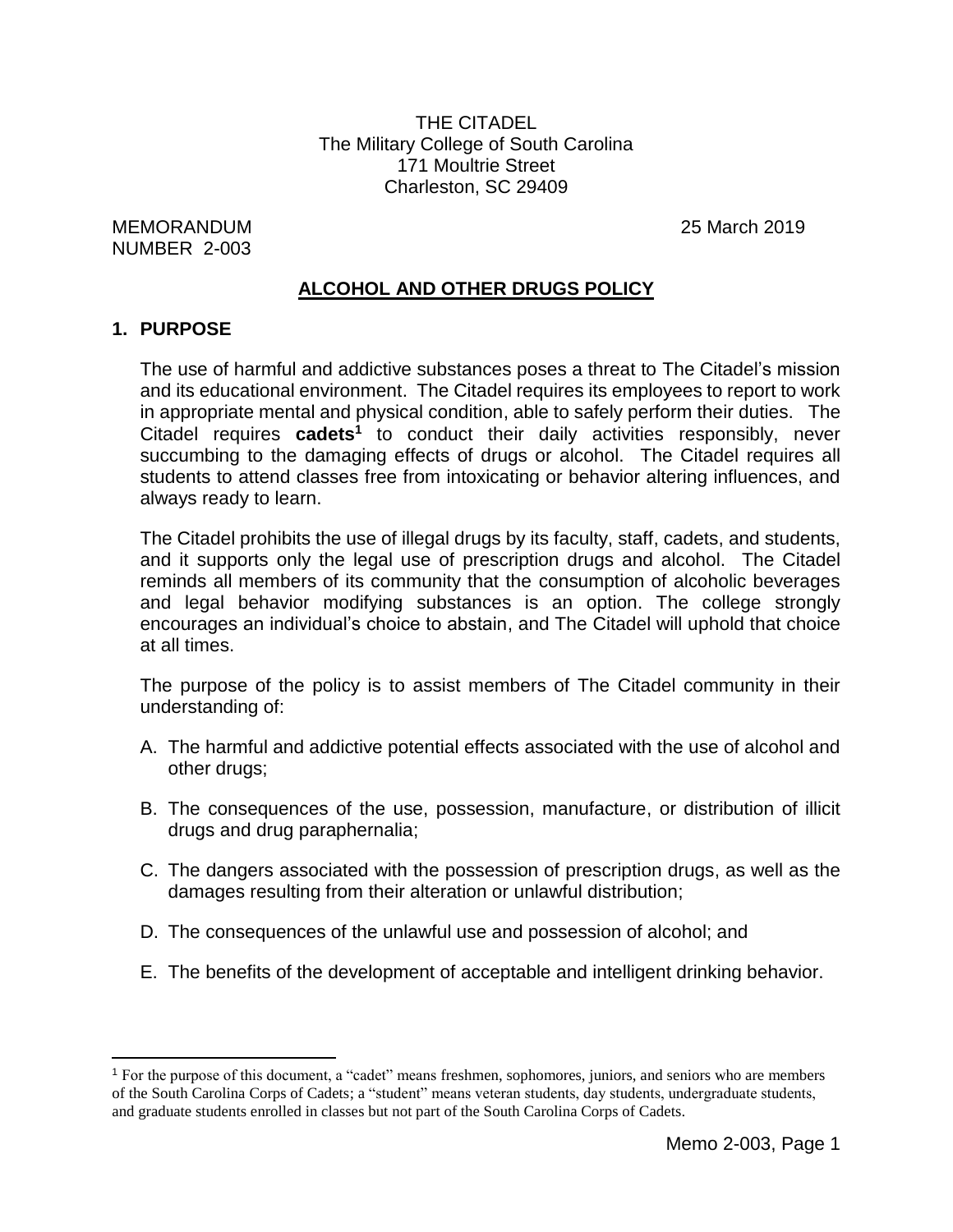THE CITADEL The Military College of South Carolina 171 Moultrie Street Charleston, SC 29409

MEMORANDUM 25 March 2019 NUMBER 2-003

# **ALCOHOL AND OTHER DRUGS POLICY**

#### **1. PURPOSE**

 $\overline{a}$ 

The use of harmful and addictive substances poses a threat to The Citadel's mission and its educational environment. The Citadel requires its employees to report to work in appropriate mental and physical condition, able to safely perform their duties. The Citadel requires **cadets<sup>1</sup>** to conduct their daily activities responsibly, never succumbing to the damaging effects of drugs or alcohol. The Citadel requires all students to attend classes free from intoxicating or behavior altering influences, and always ready to learn.

The Citadel prohibits the use of illegal drugs by its faculty, staff, cadets, and students, and it supports only the legal use of prescription drugs and alcohol. The Citadel reminds all members of its community that the consumption of alcoholic beverages and legal behavior modifying substances is an option. The college strongly encourages an individual's choice to abstain, and The Citadel will uphold that choice at all times.

The purpose of the policy is to assist members of The Citadel community in their understanding of:

- A. The harmful and addictive potential effects associated with the use of alcohol and other drugs;
- B. The consequences of the use, possession, manufacture, or distribution of illicit drugs and drug paraphernalia;
- C. The dangers associated with the possession of prescription drugs, as well as the damages resulting from their alteration or unlawful distribution;
- D. The consequences of the unlawful use and possession of alcohol; and
- E. The benefits of the development of acceptable and intelligent drinking behavior.

<sup>1</sup> For the purpose of this document, a "cadet" means freshmen, sophomores, juniors, and seniors who are members of the South Carolina Corps of Cadets; a "student" means veteran students, day students, undergraduate students, and graduate students enrolled in classes but not part of the South Carolina Corps of Cadets.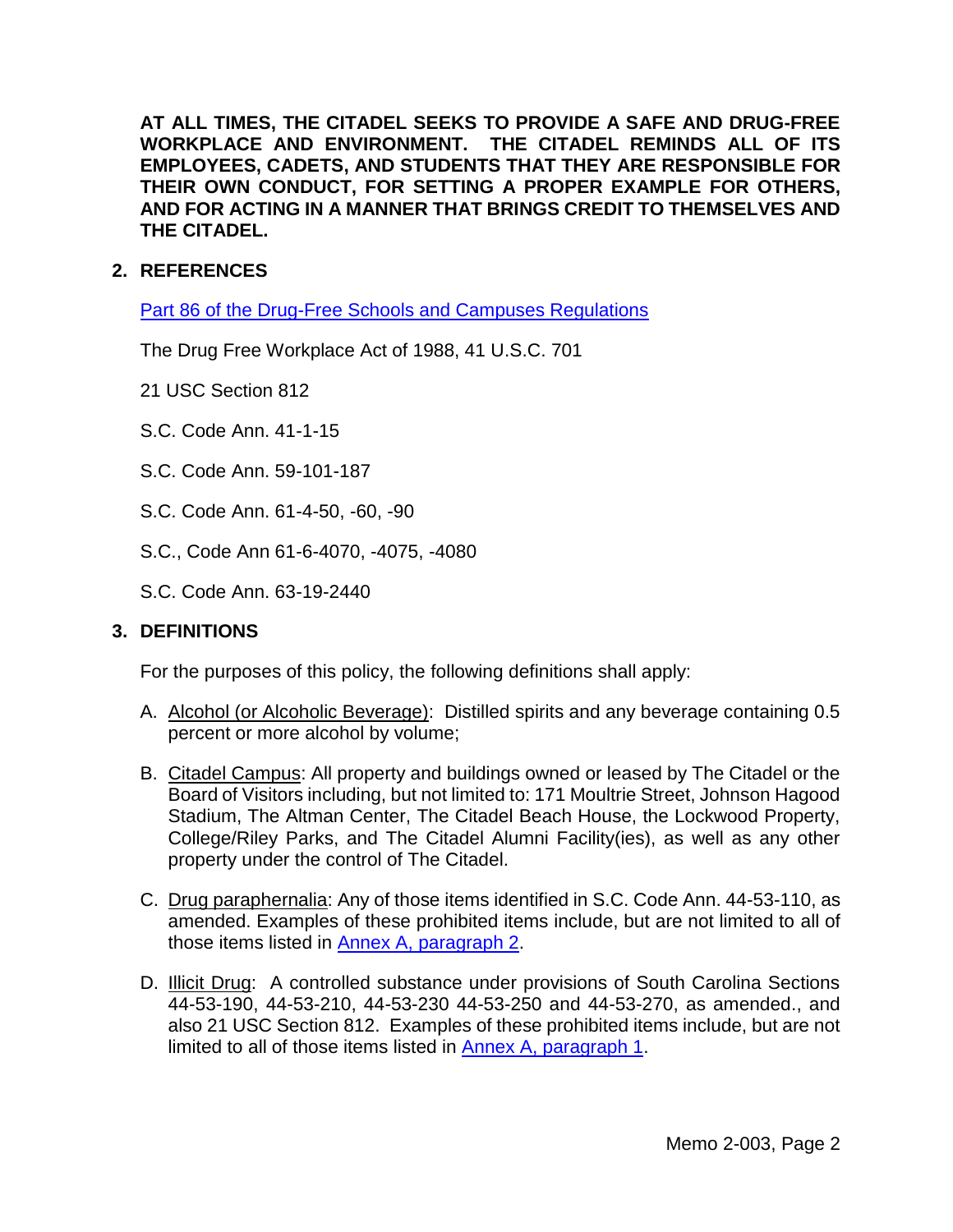**AT ALL TIMES, THE CITADEL SEEKS TO PROVIDE A SAFE AND DRUG-FREE WORKPLACE AND ENVIRONMENT. THE CITADEL REMINDS ALL OF ITS EMPLOYEES, CADETS, AND STUDENTS THAT THEY ARE RESPONSIBLE FOR THEIR OWN CONDUCT, FOR SETTING A PROPER EXAMPLE FOR OTHERS, AND FOR ACTING IN A MANNER THAT BRINGS CREDIT TO THEMSELVES AND THE CITADEL.**

# **2. REFERENCES**

[Part 86 of the Drug-Free Schools and Campuses Regulations](https://ifap.ed.gov/regcomps/attachments/86.pdf)

The Drug Free Workplace Act of 1988, 41 U.S.C. 701

- 21 USC Section 812
- S.C. Code Ann. 41-1-15
- S.C. Code Ann. 59-101-187
- S.C. Code Ann. 61-4-50, -60, -90
- S.C., Code Ann 61-6-4070, -4075, -4080
- S.C. Code Ann. 63-19-2440

#### **3. DEFINITIONS**

For the purposes of this policy, the following definitions shall apply:

- A. Alcohol (or Alcoholic Beverage): Distilled spirits and any beverage containing 0.5 percent or more alcohol by volume;
- B. Citadel Campus: All property and buildings owned or leased by The Citadel or the Board of Visitors including, but not limited to: 171 Moultrie Street, Johnson Hagood Stadium, The Altman Center, The Citadel Beach House, the Lockwood Property, College/Riley Parks, and The Citadel Alumni Facility(ies), as well as any other property under the control of The Citadel.
- C. Drug paraphernalia: Any of those items identified in S.C. Code Ann. 44-53-110, as amended. Examples of these prohibited items include, but are not limited to all of those items listed in [Annex A, paragraph 2.](#page-12-0)
- D. **Illicit Drug:** A controlled substance under provisions of South Carolina Sections 44-53-190, 44-53-210, 44-53-230 44-53-250 and 44-53-270, as amended., and also 21 USC Section 812. Examples of these prohibited items include, but are not limited to all of those items listed in Annex [A, paragraph 1.](#page-12-1)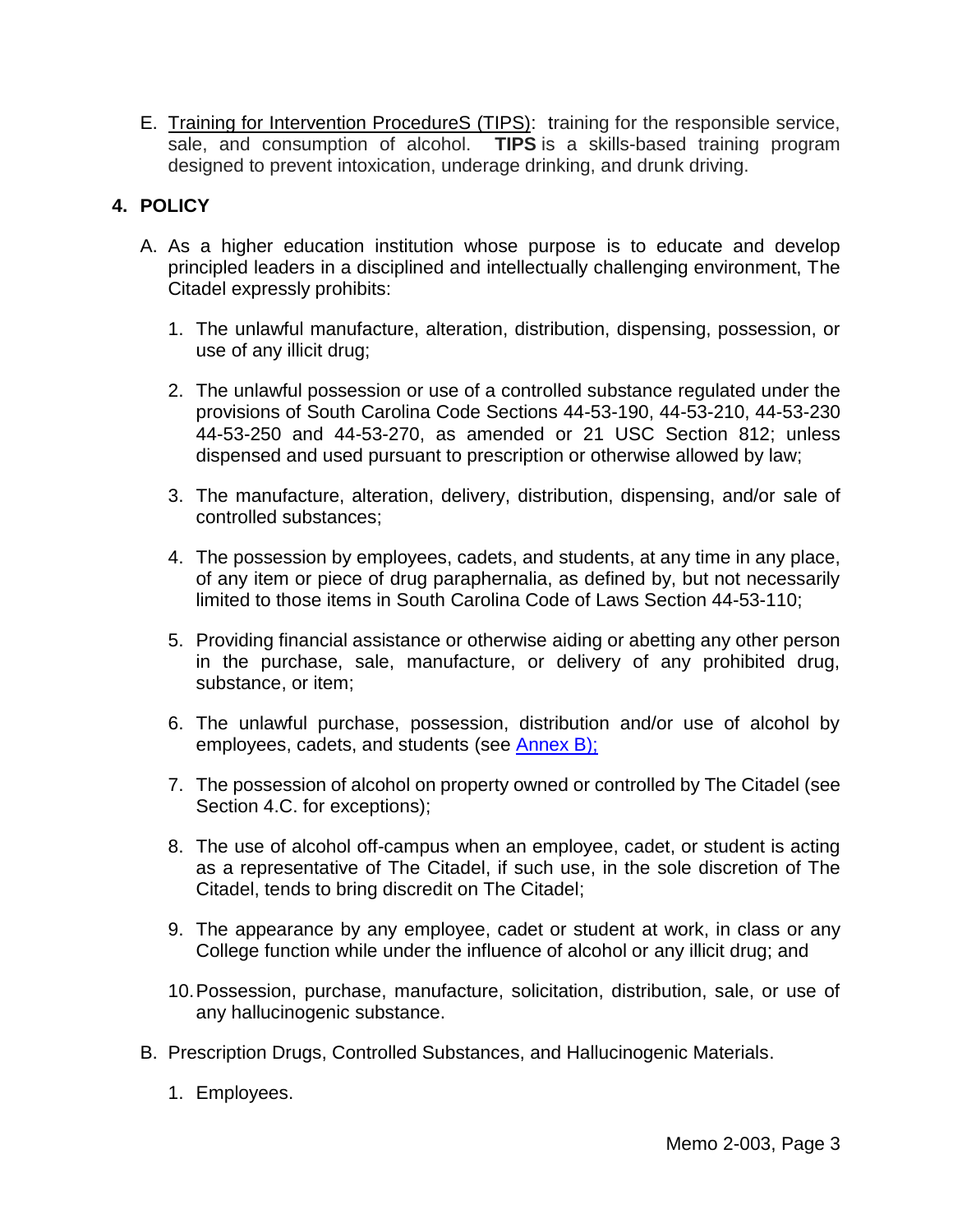E. Training for Intervention ProcedureS (TIPS): training for the responsible service, sale, and consumption of alcohol. **TIPS** is a skills-based training program designed to prevent intoxication, underage drinking, and drunk driving.

# **4. POLICY**

- A. As a higher education institution whose purpose is to educate and develop principled leaders in a disciplined and intellectually challenging environment, The Citadel expressly prohibits:
	- 1. The unlawful manufacture, alteration, distribution, dispensing, possession, or use of any illicit drug;
	- 2. The unlawful possession or use of a controlled substance regulated under the provisions of South Carolina Code Sections 44-53-190, 44-53-210, 44-53-230 44-53-250 and 44-53-270, as amended or 21 USC Section 812; unless dispensed and used pursuant to prescription or otherwise allowed by law;
	- 3. The manufacture, alteration, delivery, distribution, dispensing, and/or sale of controlled substances;
	- 4. The possession by employees, cadets, and students, at any time in any place, of any item or piece of drug paraphernalia, as defined by, but not necessarily limited to those items in South Carolina Code of Laws Section 44-53-110;
	- 5. Providing financial assistance or otherwise aiding or abetting any other person in the purchase, sale, manufacture, or delivery of any prohibited drug, substance, or item;
	- 6. The unlawful purchase, possession, distribution and/or use of alcohol by employees, cadets, and students (see [Annex B\)](#page-14-0);
	- 7. The possession of alcohol on property owned or controlled by The Citadel (see Section 4.C. for exceptions);
	- 8. The use of alcohol off-campus when an employee, cadet, or student is acting as a representative of The Citadel, if such use, in the sole discretion of The Citadel, tends to bring discredit on The Citadel;
	- 9. The appearance by any employee, cadet or student at work, in class or any College function while under the influence of alcohol or any illicit drug; and
	- 10.Possession, purchase, manufacture, solicitation, distribution, sale, or use of any hallucinogenic substance.
- B. Prescription Drugs, Controlled Substances, and Hallucinogenic Materials.
	- 1. Employees.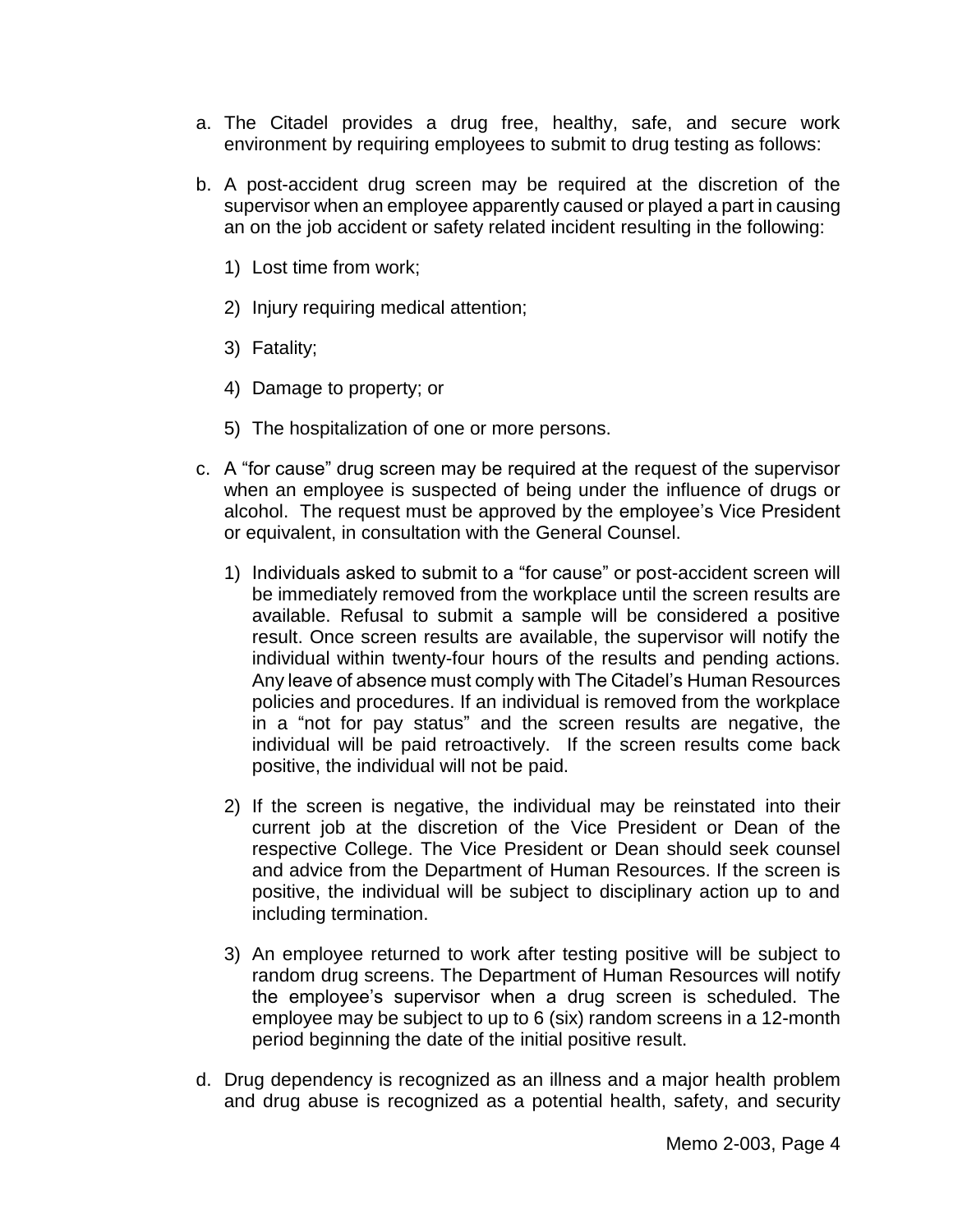- a. The Citadel provides a drug free, healthy, safe, and secure work environment by requiring employees to submit to drug testing as follows:
- b. A post-accident drug screen may be required at the discretion of the supervisor when an employee apparently caused or played a part in causing an on the job accident or safety related incident resulting in the following:
	- 1) Lost time from work;
	- 2) Injury requiring medical attention;
	- 3) Fatality;
	- 4) Damage to property; or
	- 5) The hospitalization of one or more persons.
- c. A "for cause" drug screen may be required at the request of the supervisor when an employee is suspected of being under the influence of drugs or alcohol. The request must be approved by the employee's Vice President or equivalent, in consultation with the General Counsel.
	- 1) Individuals asked to submit to a "for cause" or post-accident screen will be immediately removed from the workplace until the screen results are available. Refusal to submit a sample will be considered a positive result. Once screen results are available, the supervisor will notify the individual within twenty-four hours of the results and pending actions. Any leave of absence must comply with The Citadel's Human Resources policies and procedures. If an individual is removed from the workplace in a "not for pay status" and the screen results are negative, the individual will be paid retroactively. If the screen results come back positive, the individual will not be paid.
	- 2) If the screen is negative, the individual may be reinstated into their current job at the discretion of the Vice President or Dean of the respective College. The Vice President or Dean should seek counsel and advice from the Department of Human Resources. If the screen is positive, the individual will be subject to disciplinary action up to and including termination.
	- 3) An employee returned to work after testing positive will be subject to random drug screens. The Department of Human Resources will notify the employee's supervisor when a drug screen is scheduled. The employee may be subject to up to 6 (six) random screens in a 12-month period beginning the date of the initial positive result.
- d. Drug dependency is recognized as an illness and a major health problem and drug abuse is recognized as a potential health, safety, and security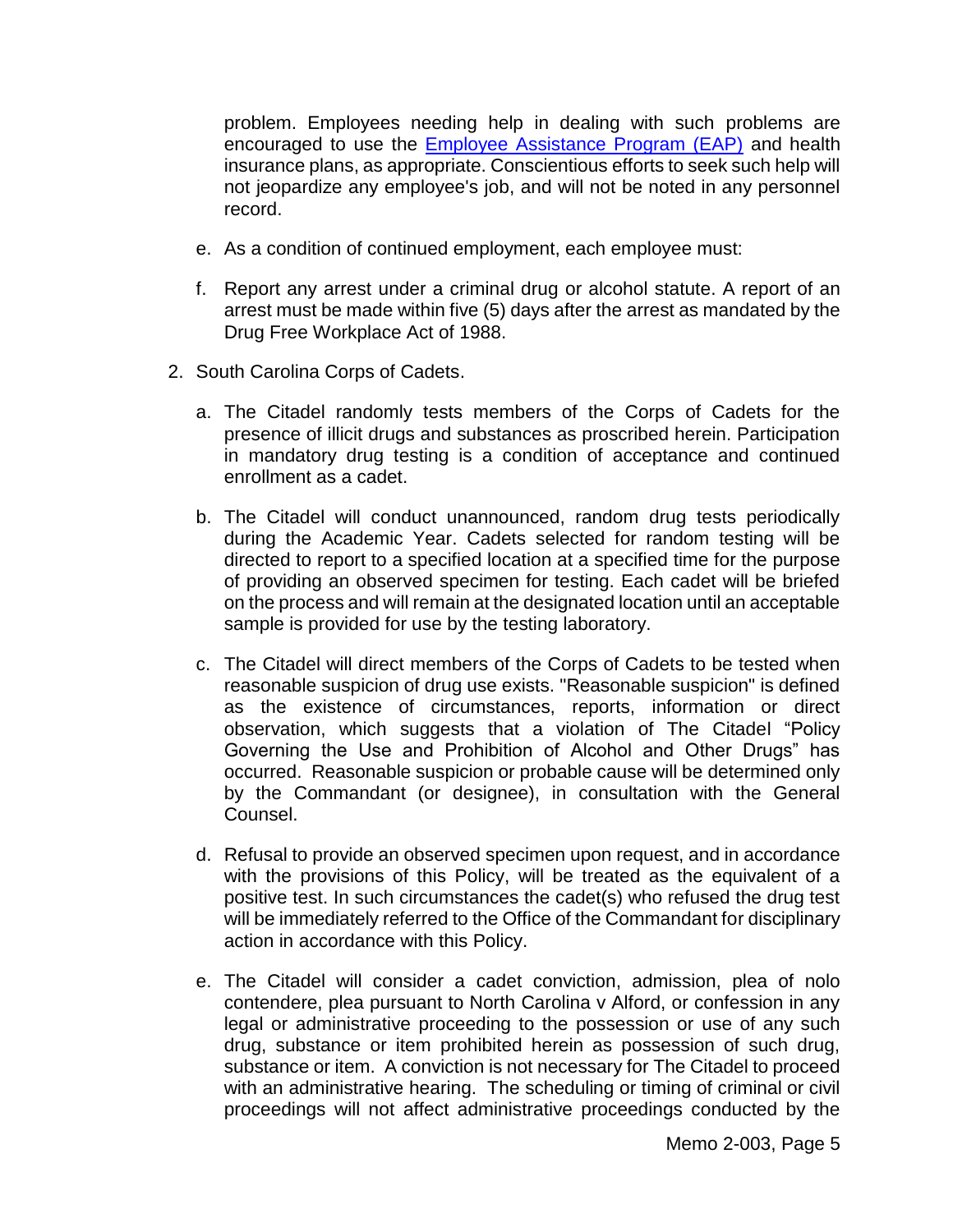problem. Employees needing help in dealing with such problems are encouraged to use the [Employee Assistance Program \(EAP\)](http://www.citadel.edu/root/hr-employee-relations/178-human-resources/2991-employee-assistance-program-eap) and health insurance plans, as appropriate. Conscientious efforts to seek such help will not jeopardize any employee's job, and will not be noted in any personnel record.

- e. As a condition of continued employment, each employee must:
- f. Report any arrest under a criminal drug or alcohol statute. A report of an arrest must be made within five (5) days after the arrest as mandated by the Drug Free Workplace Act of 1988.
- 2. South Carolina Corps of Cadets.
	- a. The Citadel randomly tests members of the Corps of Cadets for the presence of illicit drugs and substances as proscribed herein. Participation in mandatory drug testing is a condition of acceptance and continued enrollment as a cadet.
	- b. The Citadel will conduct unannounced, random drug tests periodically during the Academic Year. Cadets selected for random testing will be directed to report to a specified location at a specified time for the purpose of providing an observed specimen for testing. Each cadet will be briefed on the process and will remain at the designated location until an acceptable sample is provided for use by the testing laboratory.
	- c. The Citadel will direct members of the Corps of Cadets to be tested when reasonable suspicion of drug use exists. "Reasonable suspicion" is defined as the existence of circumstances, reports, information or direct observation, which suggests that a violation of The Citadel "Policy Governing the Use and Prohibition of Alcohol and Other Drugs" has occurred. Reasonable suspicion or probable cause will be determined only by the Commandant (or designee), in consultation with the General Counsel.
	- d. Refusal to provide an observed specimen upon request, and in accordance with the provisions of this Policy, will be treated as the equivalent of a positive test. In such circumstances the cadet(s) who refused the drug test will be immediately referred to the Office of the Commandant for disciplinary action in accordance with this Policy.
	- e. The Citadel will consider a cadet conviction, admission, plea of nolo contendere, plea pursuant to North Carolina v Alford, or confession in any legal or administrative proceeding to the possession or use of any such drug, substance or item prohibited herein as possession of such drug, substance or item. A conviction is not necessary for The Citadel to proceed with an administrative hearing. The scheduling or timing of criminal or civil proceedings will not affect administrative proceedings conducted by the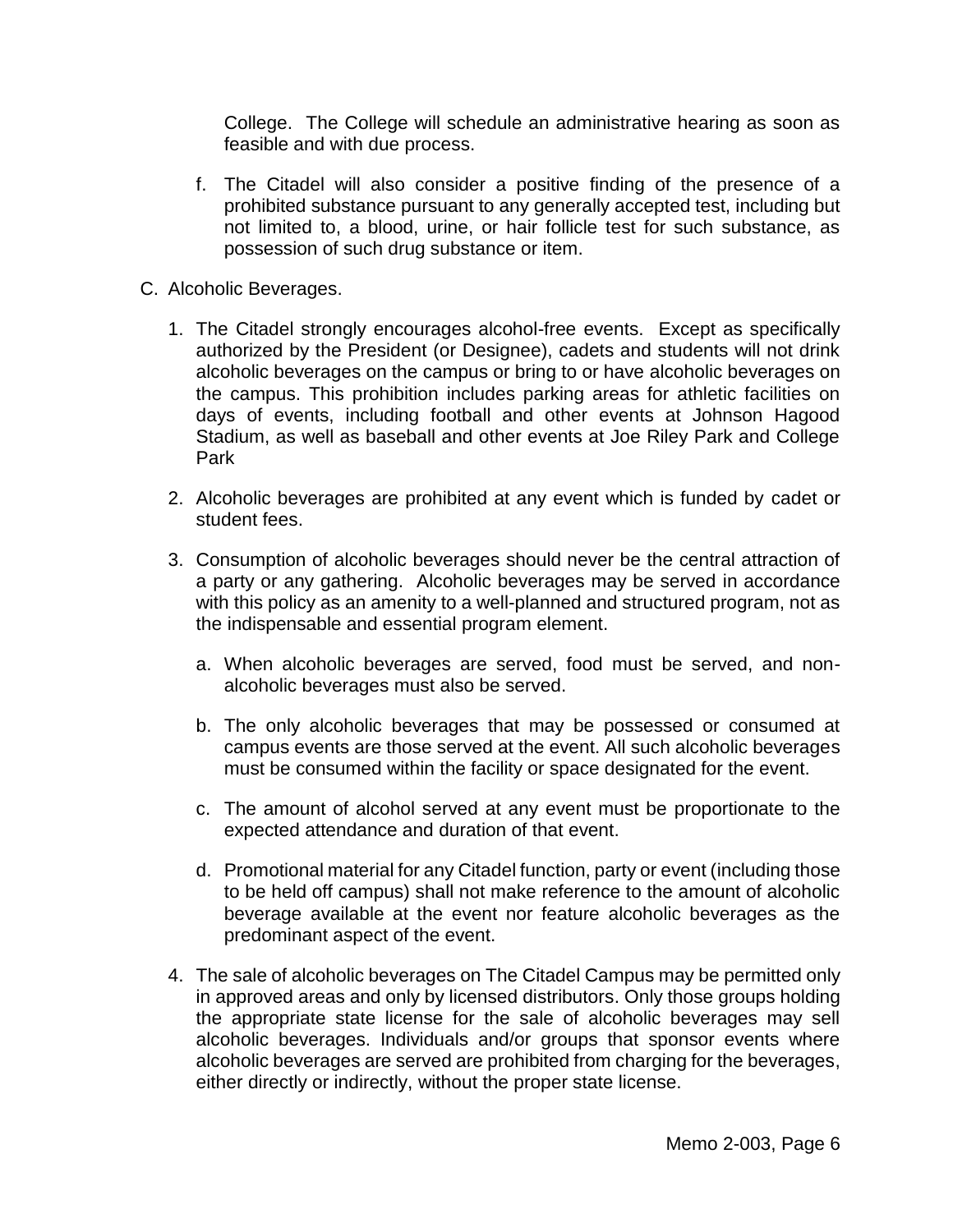College. The College will schedule an administrative hearing as soon as feasible and with due process.

- f. The Citadel will also consider a positive finding of the presence of a prohibited substance pursuant to any generally accepted test, including but not limited to, a blood, urine, or hair follicle test for such substance, as possession of such drug substance or item.
- C. Alcoholic Beverages.
	- 1. The Citadel strongly encourages alcohol-free events. Except as specifically authorized by the President (or Designee), cadets and students will not drink alcoholic beverages on the campus or bring to or have alcoholic beverages on the campus. This prohibition includes parking areas for athletic facilities on days of events, including football and other events at Johnson Hagood Stadium, as well as baseball and other events at Joe Riley Park and College Park
	- 2. Alcoholic beverages are prohibited at any event which is funded by cadet or student fees.
	- 3. Consumption of alcoholic beverages should never be the central attraction of a party or any gathering. Alcoholic beverages may be served in accordance with this policy as an amenity to a well-planned and structured program, not as the indispensable and essential program element.
		- a. When alcoholic beverages are served, food must be served, and nonalcoholic beverages must also be served.
		- b. The only alcoholic beverages that may be possessed or consumed at campus events are those served at the event. All such alcoholic beverages must be consumed within the facility or space designated for the event.
		- c. The amount of alcohol served at any event must be proportionate to the expected attendance and duration of that event.
		- d. Promotional material for any Citadel function, party or event (including those to be held off campus) shall not make reference to the amount of alcoholic beverage available at the event nor feature alcoholic beverages as the predominant aspect of the event.
	- 4. The sale of alcoholic beverages on The Citadel Campus may be permitted only in approved areas and only by licensed distributors. Only those groups holding the appropriate state license for the sale of alcoholic beverages may sell alcoholic beverages. Individuals and/or groups that sponsor events where alcoholic beverages are served are prohibited from charging for the beverages, either directly or indirectly, without the proper state license.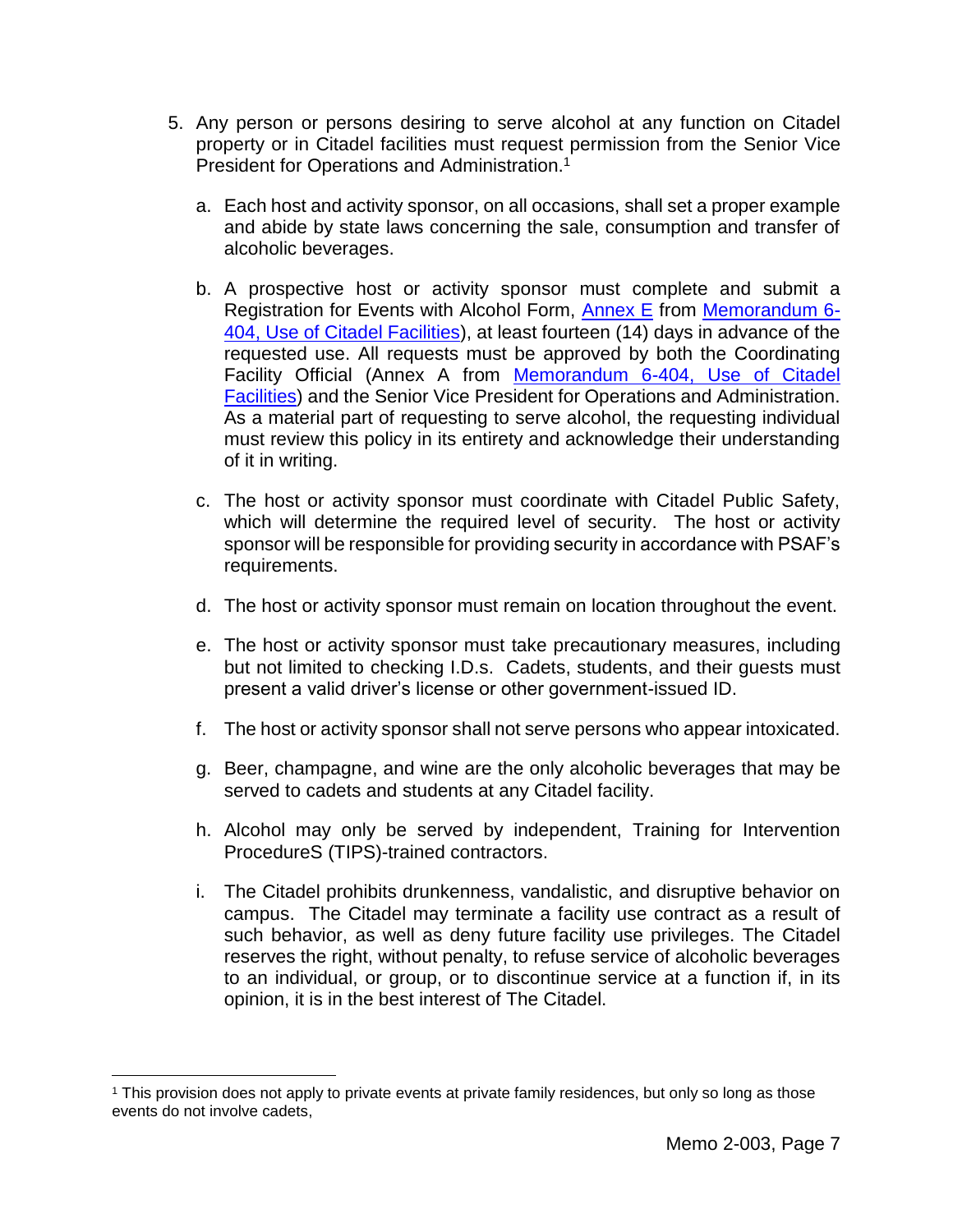- 5. Any person or persons desiring to serve alcohol at any function on Citadel property or in Citadel facilities must request permission from the Senior Vice President for Operations and Administration. 1
	- a. Each host and activity sponsor, on all occasions, shall set a proper example and abide by state laws concerning the sale, consumption and transfer of alcoholic beverages.
	- b. A prospective host or activity sponsor must complete and submit a Registration for Events with Alcohol Form, [Annex E](http://www.my.citadel.edu/root/events-with-alcohol-form) from [Memorandum 6-](http://www.citadel.edu/root/images/policies/use-of-citadel-facilities-policy.pdf) [404, Use of Citadel Facilities\)](http://www.citadel.edu/root/images/policies/use-of-citadel-facilities-policy.pdf), at least fourteen (14) days in advance of the requested use. All requests must be approved by both the Coordinating Facility Official (Annex A from [Memorandum 6-404, Use of Citadel](http://www.citadel.edu/root/images/policies/use-of-citadel-facilities-policy.pdf)  [Facilities\)](http://www.citadel.edu/root/images/policies/use-of-citadel-facilities-policy.pdf) and the Senior Vice President for Operations and Administration. As a material part of requesting to serve alcohol, the requesting individual must review this policy in its entirety and acknowledge their understanding of it in writing.
	- c. The host or activity sponsor must coordinate with Citadel Public Safety, which will determine the required level of security. The host or activity sponsor will be responsible for providing security in accordance with PSAF's requirements.
	- d. The host or activity sponsor must remain on location throughout the event.
	- e. The host or activity sponsor must take precautionary measures, including but not limited to checking I.D.s. Cadets, students, and their guests must present a valid driver's license or other government-issued ID.
	- f. The host or activity sponsor shall not serve persons who appear intoxicated.
	- g. Beer, champagne, and wine are the only alcoholic beverages that may be served to cadets and students at any Citadel facility.
	- h. Alcohol may only be served by independent, Training for Intervention ProcedureS (TIPS)-trained contractors.
	- i. The Citadel prohibits drunkenness, vandalistic, and disruptive behavior on campus. The Citadel may terminate a facility use contract as a result of such behavior, as well as deny future facility use privileges. The Citadel reserves the right, without penalty, to refuse service of alcoholic beverages to an individual, or group, or to discontinue service at a function if, in its opinion, it is in the best interest of The Citadel.

 $\overline{a}$ 

<sup>1</sup> This provision does not apply to private events at private family residences, but only so long as those events do not involve cadets,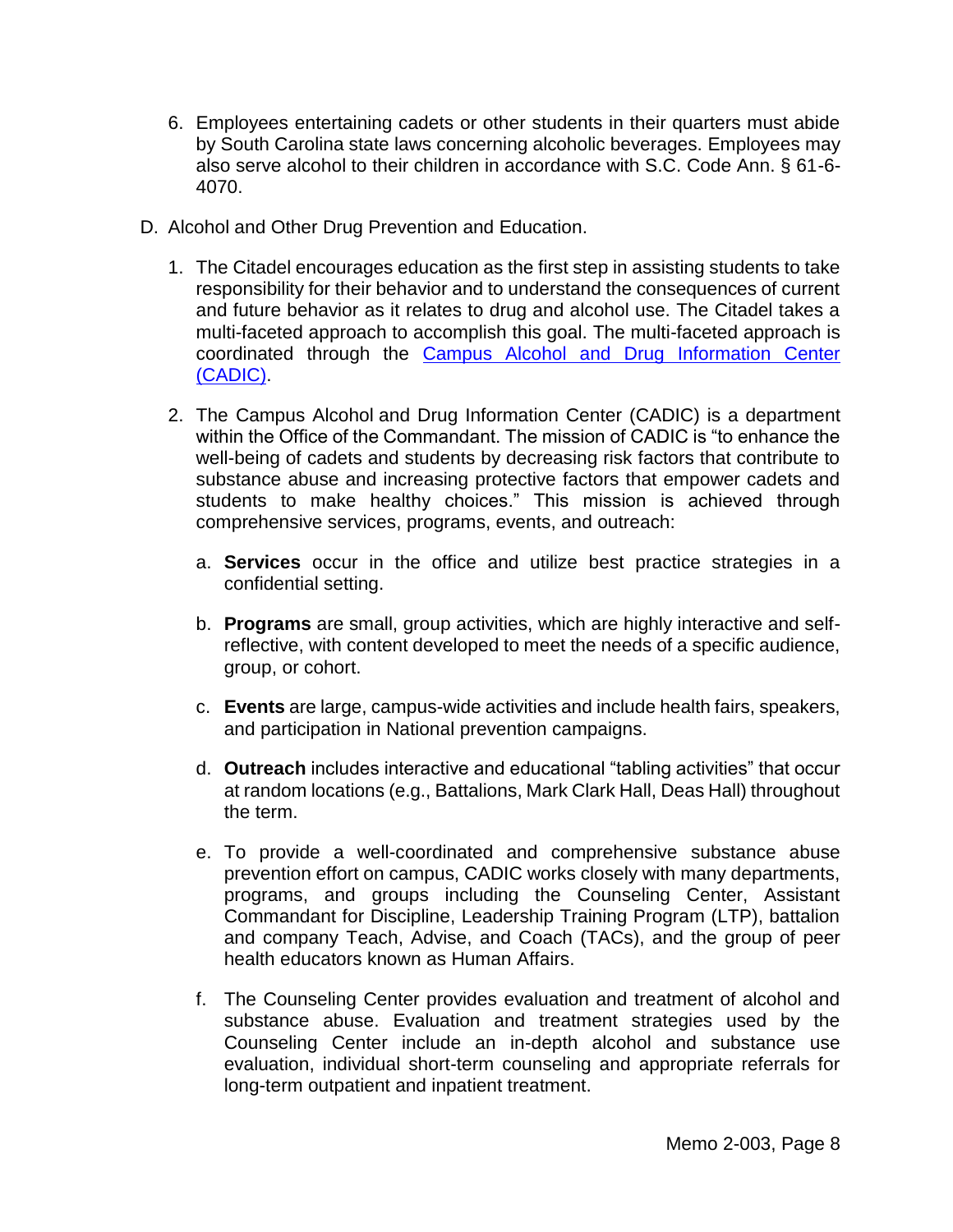- 6. Employees entertaining cadets or other students in their quarters must abide by South Carolina state laws concerning alcoholic beverages. Employees may also serve alcohol to their children in accordance with S.C. Code Ann. § 61-6- 4070.
- D. Alcohol and Other Drug Prevention and Education.
	- 1. The Citadel encourages education as the first step in assisting students to take responsibility for their behavior and to understand the consequences of current and future behavior as it relates to drug and alcohol use. The Citadel takes a multi-faceted approach to accomplish this goal. The multi-faceted approach is coordinated through the [Campus Alcohol and Drug Information Center](http://www.citadel.edu/root/cadic)  [\(CADIC\).](http://www.citadel.edu/root/cadic)
	- 2. The Campus Alcohol and Drug Information Center (CADIC) is a department within the Office of the Commandant. The mission of CADIC is "to enhance the well-being of cadets and students by decreasing risk factors that contribute to substance abuse and increasing protective factors that empower cadets and students to make healthy choices." This mission is achieved through comprehensive services, programs, events, and outreach:
		- a. **Services** occur in the office and utilize best practice strategies in a confidential setting.
		- b. **Programs** are small, group activities, which are highly interactive and selfreflective, with content developed to meet the needs of a specific audience, group, or cohort.
		- c. **Events** are large, campus-wide activities and include health fairs, speakers, and participation in National prevention campaigns.
		- d. **Outreach** includes interactive and educational "tabling activities" that occur at random locations (e.g., Battalions, Mark Clark Hall, Deas Hall) throughout the term.
		- e. To provide a well-coordinated and comprehensive substance abuse prevention effort on campus, CADIC works closely with many departments, programs, and groups including the Counseling Center, Assistant Commandant for Discipline, Leadership Training Program (LTP), battalion and company Teach, Advise, and Coach (TACs), and the group of peer health educators known as Human Affairs.
		- f. The Counseling Center provides evaluation and treatment of alcohol and substance abuse. Evaluation and treatment strategies used by the Counseling Center include an in-depth alcohol and substance use evaluation, individual short-term counseling and appropriate referrals for long-term outpatient and inpatient treatment.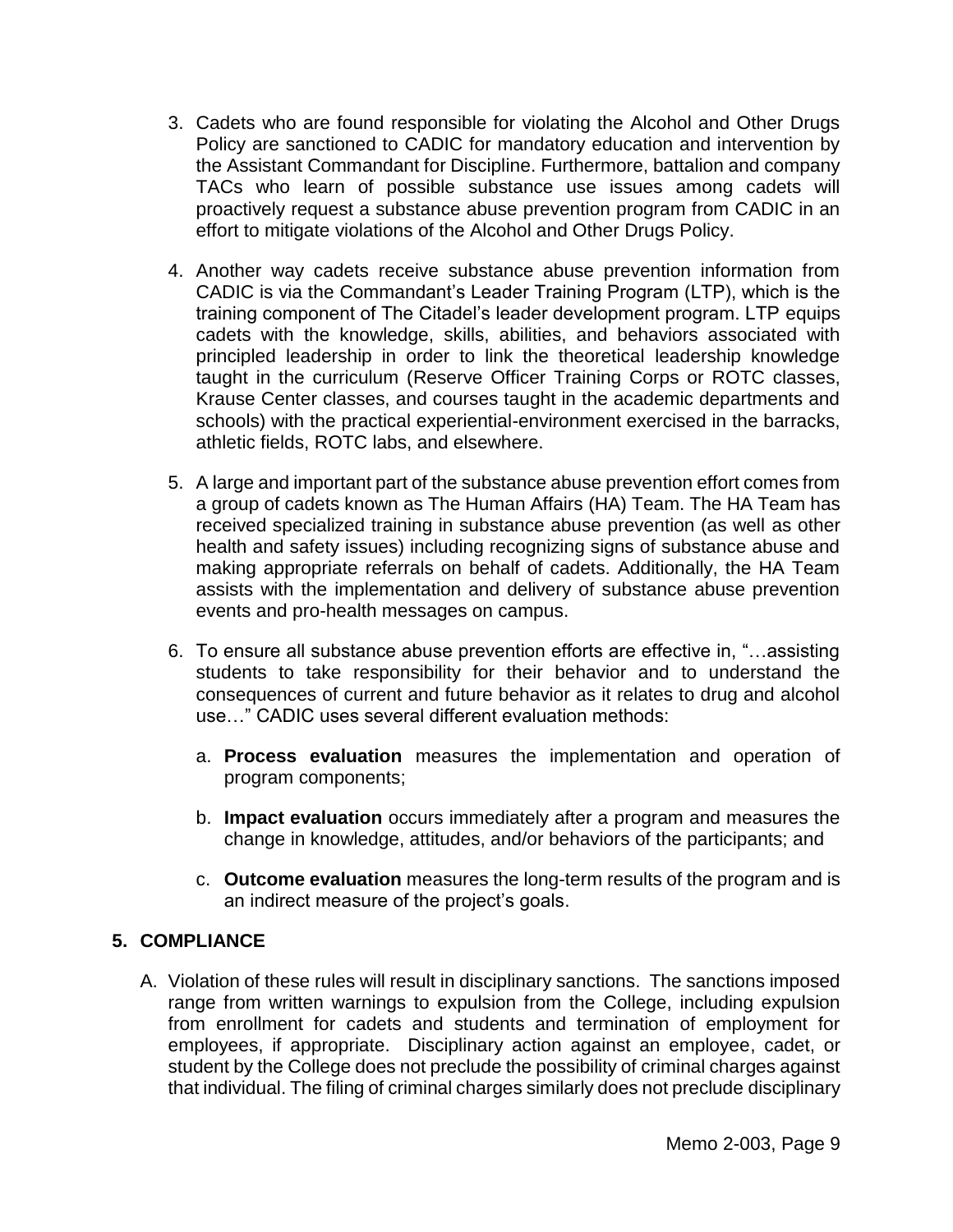- 3. Cadets who are found responsible for violating the Alcohol and Other Drugs Policy are sanctioned to CADIC for mandatory education and intervention by the Assistant Commandant for Discipline. Furthermore, battalion and company TACs who learn of possible substance use issues among cadets will proactively request a substance abuse prevention program from CADIC in an effort to mitigate violations of the Alcohol and Other Drugs Policy.
- 4. Another way cadets receive substance abuse prevention information from CADIC is via the Commandant's Leader Training Program (LTP), which is the training component of The Citadel's leader development program. LTP equips cadets with the knowledge, skills, abilities, and behaviors associated with principled leadership in order to link the theoretical leadership knowledge taught in the curriculum (Reserve Officer Training Corps or ROTC classes, Krause Center classes, and courses taught in the academic departments and schools) with the practical experiential-environment exercised in the barracks, athletic fields, ROTC labs, and elsewhere.
- 5. A large and important part of the substance abuse prevention effort comes from a group of cadets known as The Human Affairs (HA) Team. The HA Team has received specialized training in substance abuse prevention (as well as other health and safety issues) including recognizing signs of substance abuse and making appropriate referrals on behalf of cadets. Additionally, the HA Team assists with the implementation and delivery of substance abuse prevention events and pro-health messages on campus.
- 6. To ensure all substance abuse prevention efforts are effective in, "…assisting students to take responsibility for their behavior and to understand the consequences of current and future behavior as it relates to drug and alcohol use…" CADIC uses several different evaluation methods:
	- a. **Process evaluation** measures the implementation and operation of program components;
	- b. **Impact evaluation** occurs immediately after a program and measures the change in knowledge, attitudes, and/or behaviors of the participants; and
	- c. **Outcome evaluation** measures the long-term results of the program and is an indirect measure of the project's goals.

# **5. COMPLIANCE**

A. Violation of these rules will result in disciplinary sanctions. The sanctions imposed range from written warnings to expulsion from the College, including expulsion from enrollment for cadets and students and termination of employment for employees, if appropriate. Disciplinary action against an employee, cadet, or student by the College does not preclude the possibility of criminal charges against that individual. The filing of criminal charges similarly does not preclude disciplinary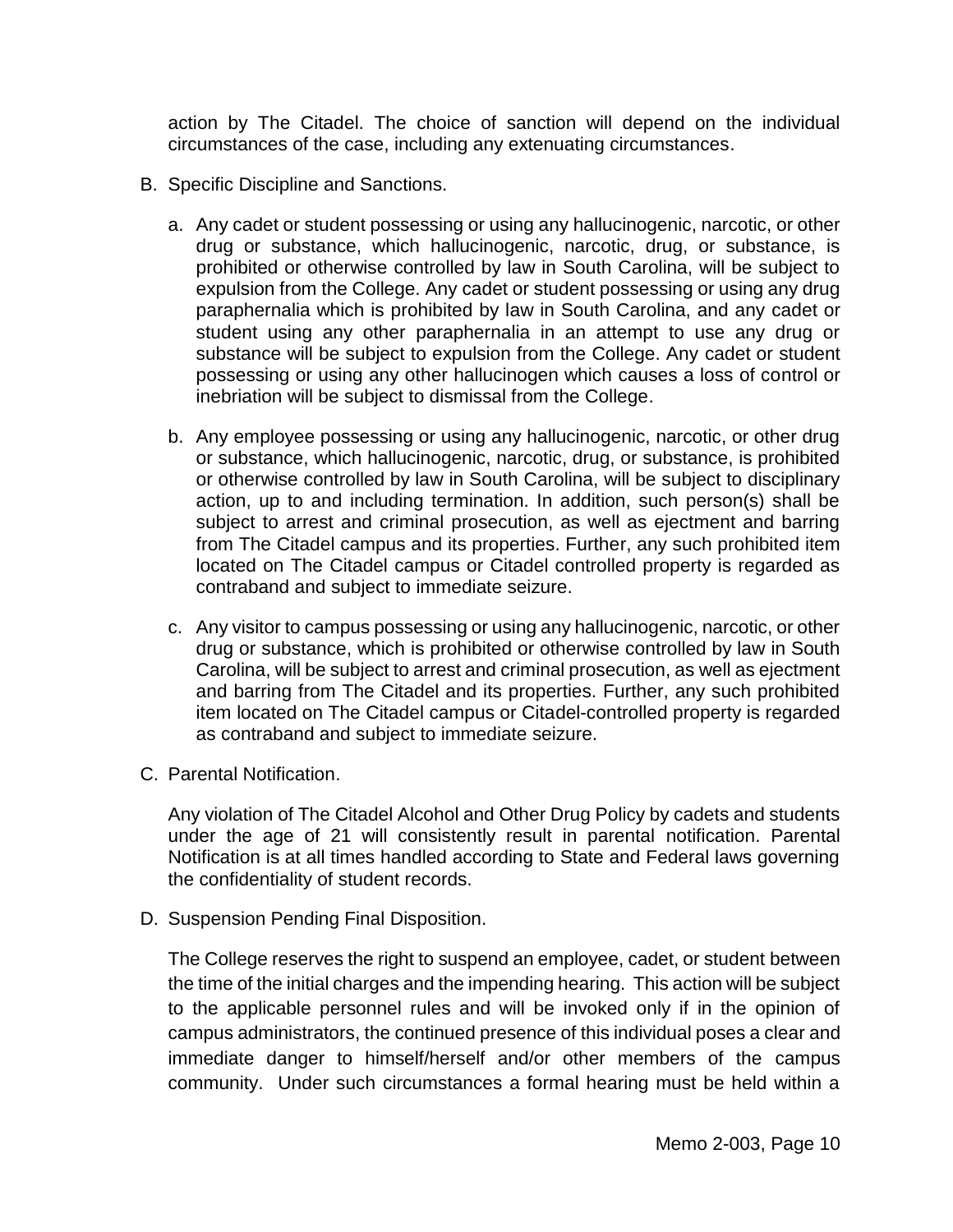action by The Citadel. The choice of sanction will depend on the individual circumstances of the case, including any extenuating circumstances.

- B. Specific Discipline and Sanctions.
	- a. Any cadet or student possessing or using any hallucinogenic, narcotic, or other drug or substance, which hallucinogenic, narcotic, drug, or substance, is prohibited or otherwise controlled by law in South Carolina, will be subject to expulsion from the College. Any cadet or student possessing or using any drug paraphernalia which is prohibited by law in South Carolina, and any cadet or student using any other paraphernalia in an attempt to use any drug or substance will be subject to expulsion from the College. Any cadet or student possessing or using any other hallucinogen which causes a loss of control or inebriation will be subject to dismissal from the College.
	- b. Any employee possessing or using any hallucinogenic, narcotic, or other drug or substance, which hallucinogenic, narcotic, drug, or substance, is prohibited or otherwise controlled by law in South Carolina, will be subject to disciplinary action, up to and including termination. In addition, such person(s) shall be subject to arrest and criminal prosecution, as well as ejectment and barring from The Citadel campus and its properties. Further, any such prohibited item located on The Citadel campus or Citadel controlled property is regarded as contraband and subject to immediate seizure.
	- c. Any visitor to campus possessing or using any hallucinogenic, narcotic, or other drug or substance, which is prohibited or otherwise controlled by law in South Carolina, will be subject to arrest and criminal prosecution, as well as ejectment and barring from The Citadel and its properties. Further, any such prohibited item located on The Citadel campus or Citadel-controlled property is regarded as contraband and subject to immediate seizure.
- C. Parental Notification.

Any violation of The Citadel Alcohol and Other Drug Policy by cadets and students under the age of 21 will consistently result in parental notification. Parental Notification is at all times handled according to State and Federal laws governing the confidentiality of student records.

D. Suspension Pending Final Disposition.

The College reserves the right to suspend an employee, cadet, or student between the time of the initial charges and the impending hearing. This action will be subject to the applicable personnel rules and will be invoked only if in the opinion of campus administrators, the continued presence of this individual poses a clear and immediate danger to himself/herself and/or other members of the campus community. Under such circumstances a formal hearing must be held within a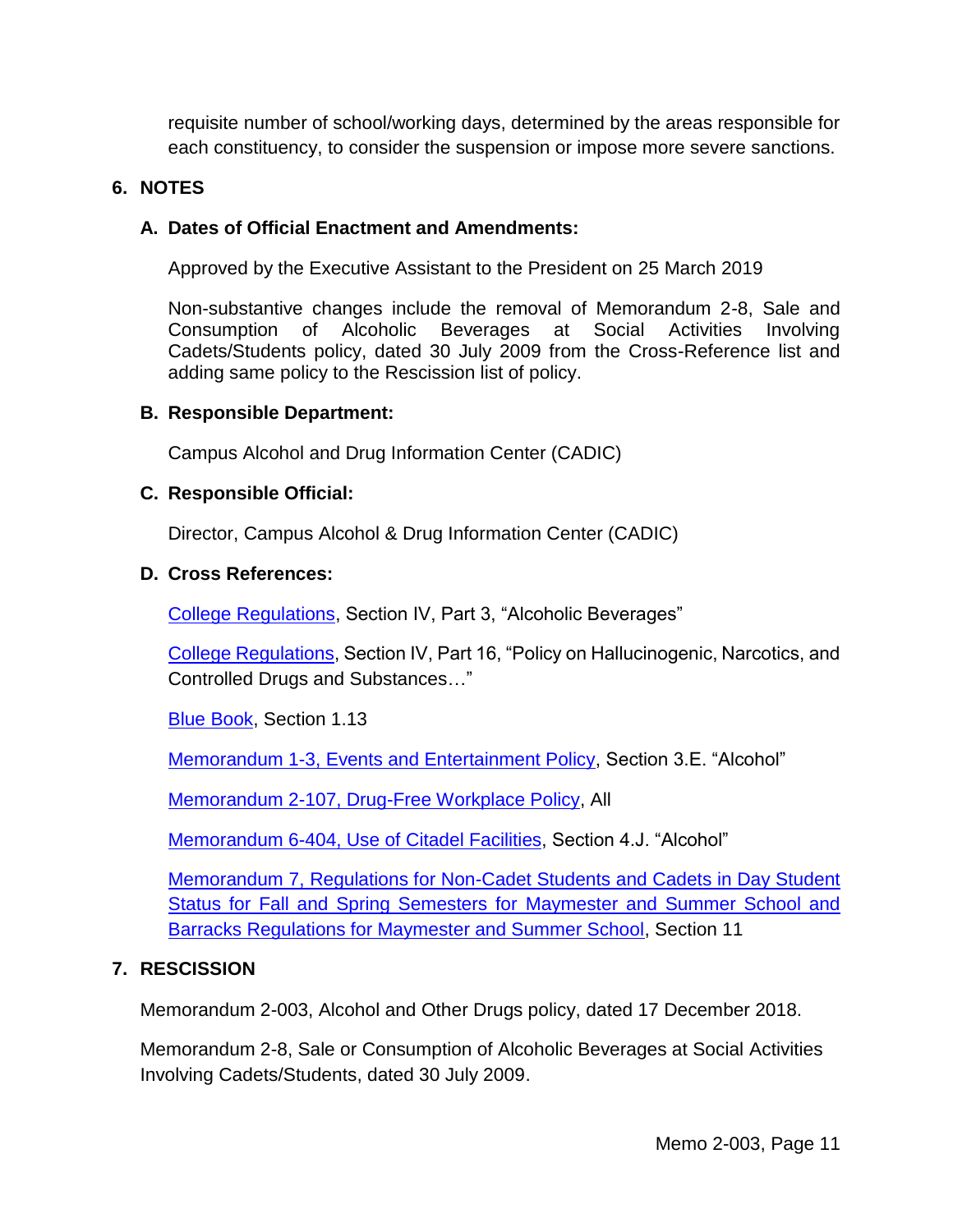requisite number of school/working days, determined by the areas responsible for each constituency, to consider the suspension or impose more severe sanctions.

### **6. NOTES**

### **A. Dates of Official Enactment and Amendments:**

Approved by the Executive Assistant to the President on 25 March 2019

Non-substantive changes include the removal of Memorandum 2-8, Sale and Consumption of Alcoholic Beverages at Social Activities Involving Cadets/Students policy, dated 30 July 2009 from the Cross-Reference list and adding same policy to the Rescission list of policy.

#### **B. Responsible Department:**

Campus Alcohol and Drug Information Center (CADIC)

### **C. Responsible Official:**

Director, Campus Alcohol & Drug Information Center (CADIC)

### **D. Cross References:**

[College Regulations,](http://www.citadel.edu/root/images/Policies/college-regulations.pdf) Section IV, Part 3, "Alcoholic Beverages"

[College Regulations,](http://www.citadel.edu/root/images/Policies/college-regulations.pdf) Section IV, Part 16, "Policy on Hallucinogenic, Narcotics, and Controlled Drugs and Substances…"

[Blue Book,](http://www.citadel.edu/root/images/commandant/blue-book.pdf) Section 1.13

Memorandum [1-3, Events and Entertainment Policy,](http://www.citadel.edu/root/images/Policies/1-003-events-and-entertainment-policy.pdf) Section 3.E. "Alcohol"

Memorandum [2-107, Drug-Free Workplace Policy,](http://www.citadel.edu/root/images/policies/drug-free-work-policy.pdf) All

Memorandum [6-404, Use of Citadel Facilities,](http://www.citadel.edu/root/images/policies/use-of-citadel-facilities-policy.pdf) Section 4.J. "Alcohol"

Memorandum [7, Regulations for Non-Cadet Students and Cadets in Day Student](http://www.citadel.edu/root/images/policies/3-107-regulations-for-non-cadets.pdf)  [Status for Fall and Spring Semesters for Maymester and Summer School and](http://www.citadel.edu/root/images/policies/3-107-regulations-for-non-cadets.pdf)  [Barracks Regulations for Maymester and Summer School,](http://www.citadel.edu/root/images/policies/3-107-regulations-for-non-cadets.pdf) Section 11

# **7. RESCISSION**

Memorandum 2-003, Alcohol and Other Drugs policy, dated 17 December 2018.

Memorandum 2-8, Sale or Consumption of Alcoholic Beverages at Social Activities Involving Cadets/Students, dated 30 July 2009.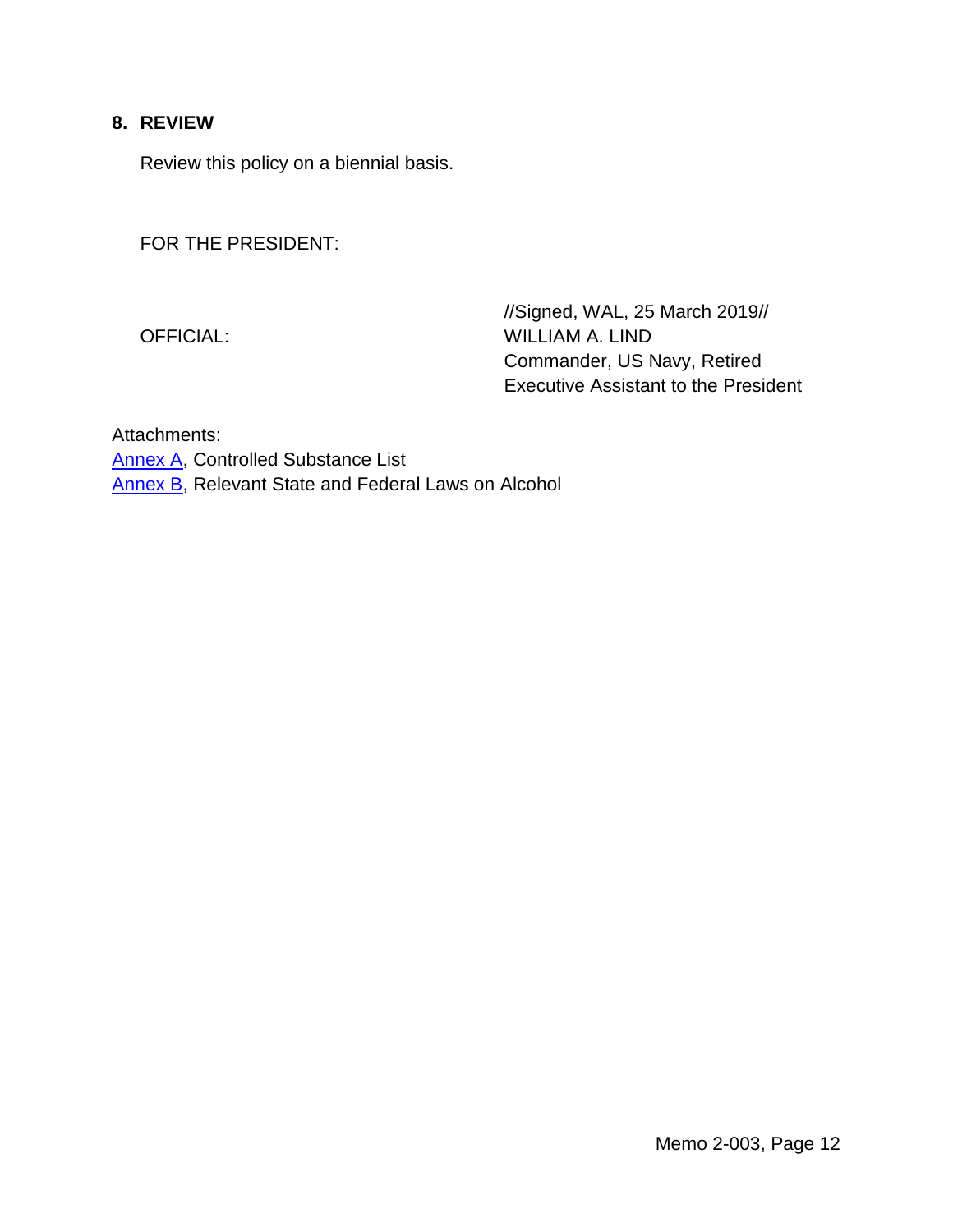# **8. REVIEW**

Review this policy on a biennial basis.

FOR THE PRESIDENT:

//Signed, WAL, 25 March 2019// OFFICIAL: WILLIAM A. LIND Commander, US Navy, Retired Executive Assistant to the President

Attachments: [Annex A,](#page-12-2) Controlled Substance List [Annex B,](#page-14-0) Relevant State and Federal Laws on Alcohol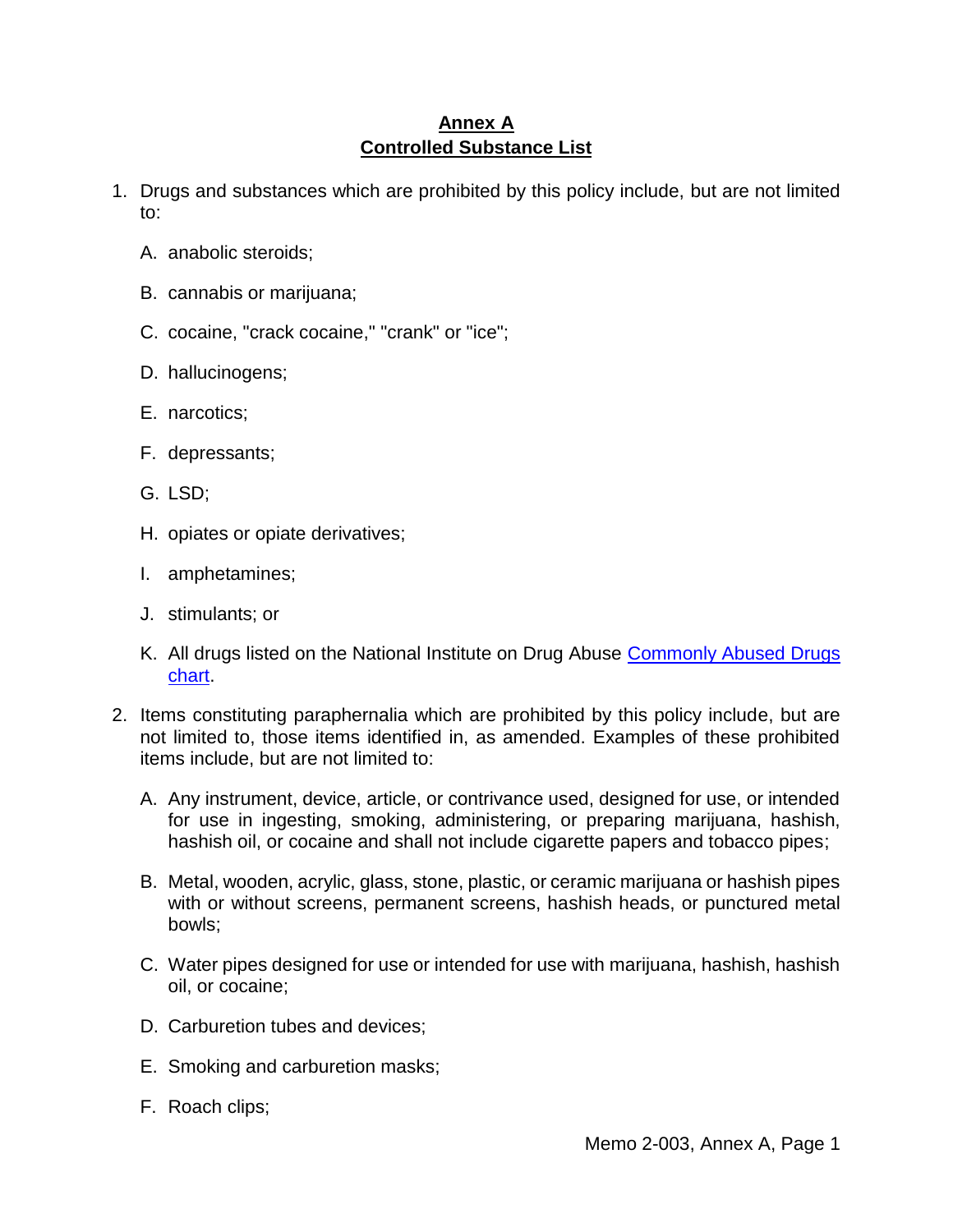# **Annex A Controlled Substance List**

- <span id="page-12-2"></span><span id="page-12-1"></span>1. Drugs and substances which are prohibited by this policy include, but are not limited to:
	- A. anabolic steroids;
	- B. cannabis or marijuana;
	- C. cocaine, "crack cocaine," "crank" or "ice";
	- D. hallucinogens;
	- E. narcotics;
	- F. depressants;
	- G. LSD;
	- H. opiates or opiate derivatives;
	- I. amphetamines;
	- J. stimulants; or
	- K. All drugs listed on the National Institute on Drug Abuse [Commonly Abused Drugs](http://www.drugabuse.gov/sites/default/files/cadchart_2.pdf)  [chart.](http://www.drugabuse.gov/sites/default/files/cadchart_2.pdf)
- <span id="page-12-0"></span>2. Items constituting paraphernalia which are prohibited by this policy include, but are not limited to, those items identified in, as amended. Examples of these prohibited items include, but are not limited to:
	- A. Any instrument, device, article, or contrivance used, designed for use, or intended for use in ingesting, smoking, administering, or preparing marijuana, hashish, hashish oil, or cocaine and shall not include cigarette papers and tobacco pipes;
	- B. Metal, wooden, acrylic, glass, stone, plastic, or ceramic marijuana or hashish pipes with or without screens, permanent screens, hashish heads, or punctured metal bowls;
	- C. Water pipes designed for use or intended for use with marijuana, hashish, hashish oil, or cocaine;
	- D. Carburetion tubes and devices;
	- E. Smoking and carburetion masks;
	- F. Roach clips;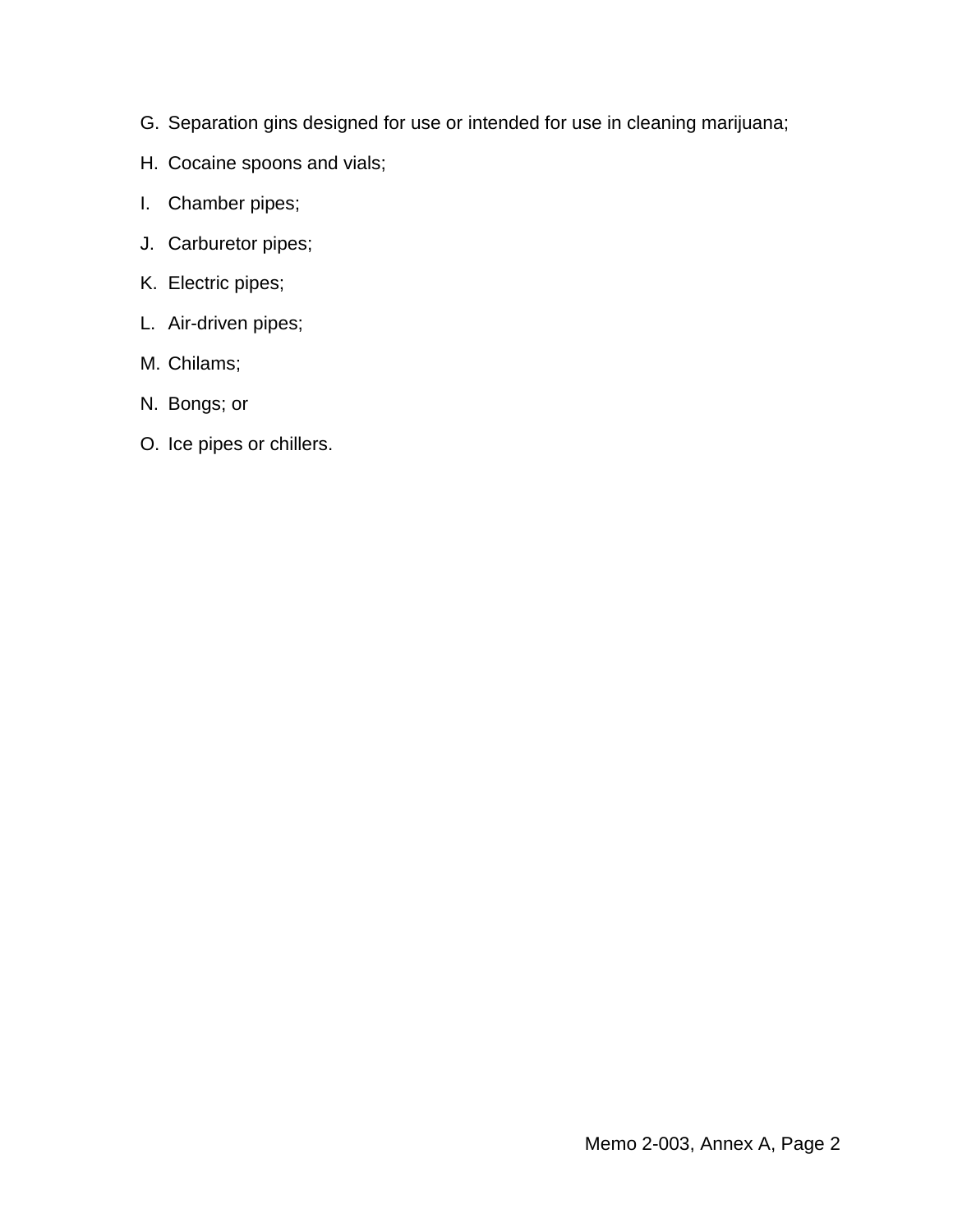- G. Separation gins designed for use or intended for use in cleaning marijuana;
- H. Cocaine spoons and vials;
- I. Chamber pipes;
- J. Carburetor pipes;
- K. Electric pipes;
- L. Air-driven pipes;
- M. Chilams;
- N. Bongs; or
- O. Ice pipes or chillers.